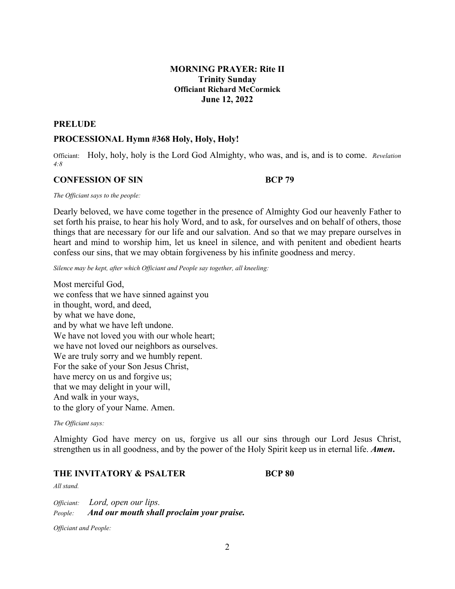## **MORNING PRAYER: Rite II Trinity Sunday Officiant Richard McCormick June 12, 2022**

#### **PRELUDE**

#### **PROCESSIONAL Hymn #368 Holy, Holy, Holy!**

Officiant: Holy, holy, holy is the Lord God Almighty, who was, and is, and is to come. *Revelation 4:8*

### **CONFESSION OF SIN BCP 79**

*The Officiant says to the people:*

Dearly beloved, we have come together in the presence of Almighty God our heavenly Father to set forth his praise, to hear his holy Word, and to ask, for ourselves and on behalf of others, those things that are necessary for our life and our salvation. And so that we may prepare ourselves in heart and mind to worship him, let us kneel in silence, and with penitent and obedient hearts confess our sins, that we may obtain forgiveness by his infinite goodness and mercy.

*Silence may be kept, after which Officiant and People say together, all kneeling:*

Most merciful God, we confess that we have sinned against you in thought, word, and deed, by what we have done, and by what we have left undone. We have not loved you with our whole heart; we have not loved our neighbors as ourselves. We are truly sorry and we humbly repent. For the sake of your Son Jesus Christ, have mercy on us and forgive us; that we may delight in your will, And walk in your ways, to the glory of your Name. Amen.

#### *The Officiant says:*

Almighty God have mercy on us, forgive us all our sins through our Lord Jesus Christ, strengthen us in all goodness, and by the power of the Holy Spirit keep us in eternal life. *Amen***.** 

### **THE INVITATORY & PSALTER BCP 80**

#### *All stand.*

*Officiant: Lord, open our lips. People: And our mouth shall proclaim your praise.*

*Officiant and People:*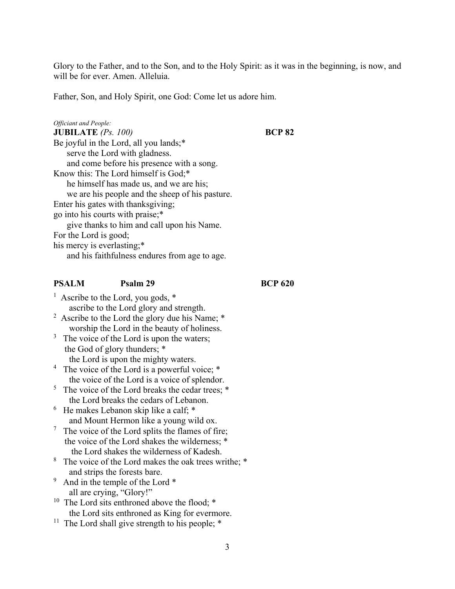Glory to the Father, and to the Son, and to the Holy Spirit: as it was in the beginning, is now, and will be for ever. Amen. Alleluia.

Father, Son, and Holy Spirit, one God: Come let us adore him.

## *Officiant and People:* **JUBILATE** *(Ps. 100)* **BCP 82** Be joyful in the Lord, all you lands;\* serve the Lord with gladness. and come before his presence with a song. Know this: The Lord himself is God;\* he himself has made us, and we are his; we are his people and the sheep of his pasture. Enter his gates with thanksgiving; go into his courts with praise;\* give thanks to him and call upon his Name. For the Lord is good; his mercy is everlasting;\* and his faithfulness endures from age to age.

## **PSALM Psalm 29 BCP 620**

<sup>1</sup> Ascribe to the Lord, you gods,  $*$ ascribe to the Lord glory and strength.

<sup>2</sup> Ascribe to the Lord the glory due his Name;  $*$ worship the Lord in the beauty of holiness.

 $3$  The voice of the Lord is upon the waters; the God of glory thunders; \* the Lord is upon the mighty waters.

<sup>4</sup> The voice of the Lord is a powerful voice; \* the voice of the Lord is a voice of splendor.

<sup>5</sup> The voice of the Lord breaks the cedar trees;  $*$ the Lord breaks the cedars of Lebanon.

6 He makes Lebanon skip like a calf; \* and Mount Hermon like a young wild ox.

 $7$  The voice of the Lord splits the flames of fire; the voice of the Lord shakes the wilderness; \* the Lord shakes the wilderness of Kadesh.

<sup>8</sup> The voice of the Lord makes the oak trees writhe; \* and strips the forests bare.

<sup>9</sup> And in the temple of the Lord  $*$ all are crying, "Glory!"

<sup>10</sup> The Lord sits enthroned above the flood;  $*$ the Lord sits enthroned as King for evermore.

<sup>11</sup> The Lord shall give strength to his people;  $*$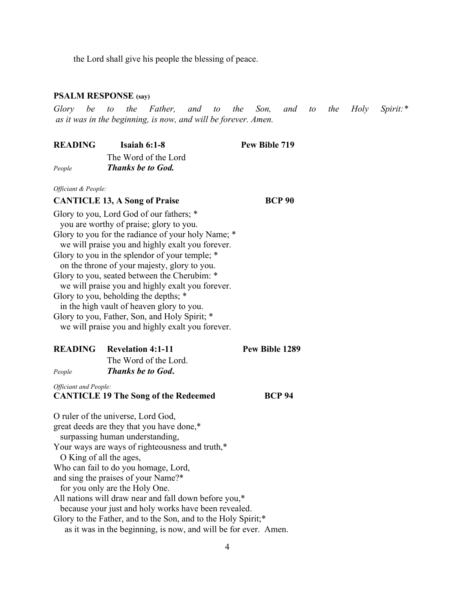the Lord shall give his people the blessing of peace.

#### **PSALM RESPONSE (say)**

*Glory be to the Father, and to the Son, and to the Holy Spirit:\* as it was in the beginning, is now, and will be forever. Amen.* 

| <b>READING</b> | Isaiah $6:1-8$           | Pew Bible 719 |
|----------------|--------------------------|---------------|
|                | The Word of the Lord     |               |
| People         | <b>Thanks be to God.</b> |               |

*Officiant & People:*

## **CANTICLE 13, A Song of Praise BCP 90**

Glory to you, Lord God of our fathers; \* you are worthy of praise; glory to you. Glory to you for the radiance of your holy Name; \* we will praise you and highly exalt you forever. Glory to you in the splendor of your temple; \* on the throne of your majesty, glory to you. Glory to you, seated between the Cherubim: \* we will praise you and highly exalt you forever. Glory to you, beholding the depths; \* in the high vault of heaven glory to you. Glory to you, Father, Son, and Holy Spirit; \* we will praise you and highly exalt you forever.

|                                             | <b>READING</b> Revelation 4:1-11 | Pew Bible 1289 |
|---------------------------------------------|----------------------------------|----------------|
|                                             | The Word of the Lord.            |                |
| People                                      | <b>Thanks be to God.</b>         |                |
| Officiant and People:                       |                                  |                |
| <b>CANTICLE 19 The Song of the Redeemed</b> |                                  | <b>BCP 94</b>  |

O ruler of the universe, Lord God, great deeds are they that you have done,\* surpassing human understanding, Your ways are ways of righteousness and truth,\* O King of all the ages, Who can fail to do you homage, Lord, and sing the praises of your Name?\* for you only are the Holy One. All nations will draw near and fall down before you,\* because your just and holy works have been revealed. Glory to the Father, and to the Son, and to the Holy Spirit;\* as it was in the beginning, is now, and will be for ever. Amen.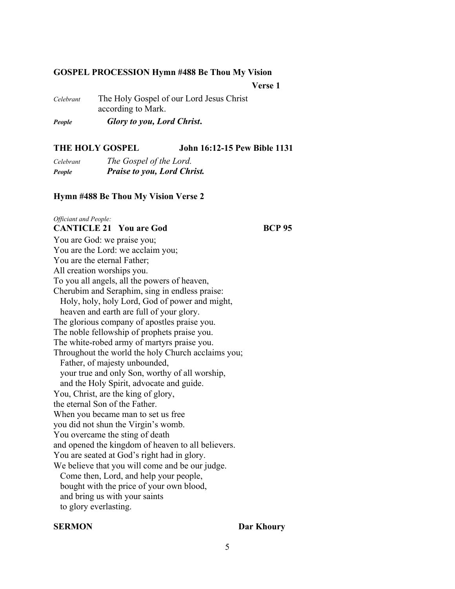#### **GOSPEL PROCESSION Hymn #488 Be Thou My Vision**

 **Verse 1**

*Celebrant* The Holy Gospel of our Lord Jesus Christ according to Mark.

*People Glory to you, Lord Christ***.** 

## **THE HOLY GOSPEL John 16:12-15 Pew Bible 1131**

| Celebrant | The Gospel of the Lord.            |
|-----------|------------------------------------|
| People    | <b>Praise to you, Lord Christ.</b> |

### **Hymn #488 Be Thou My Vision Verse 2**

## *Officiant and People:*

## **CANTICLE 21 You are God BCP 95**

You are God: we praise you; You are the Lord: we acclaim you; You are the eternal Father; All creation worships you. To you all angels, all the powers of heaven, Cherubim and Seraphim, sing in endless praise: Holy, holy, holy Lord, God of power and might, heaven and earth are full of your glory. The glorious company of apostles praise you. The noble fellowship of prophets praise you. The white-robed army of martyrs praise you. Throughout the world the holy Church acclaims you; Father, of majesty unbounded, your true and only Son, worthy of all worship, and the Holy Spirit, advocate and guide. You, Christ, are the king of glory, the eternal Son of the Father. When you became man to set us free you did not shun the Virgin's womb. You overcame the sting of death and opened the kingdom of heaven to all believers. You are seated at God's right had in glory. We believe that you will come and be our judge. Come then, Lord, and help your people, bought with the price of your own blood, and bring us with your saints to glory everlasting.

## **SERMON** Dar Khoury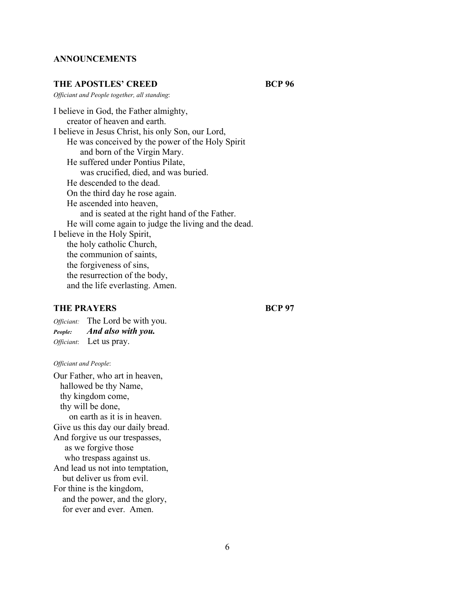### **ANNOUNCEMENTS**

### THE APOSTLES' CREED BCP 96

*Officiant and People together, all standing*:

I believe in God, the Father almighty, creator of heaven and earth. I believe in Jesus Christ, his only Son, our Lord, He was conceived by the power of the Holy Spirit and born of the Virgin Mary. He suffered under Pontius Pilate, was crucified, died, and was buried. He descended to the dead. On the third day he rose again. He ascended into heaven, and is seated at the right hand of the Father. He will come again to judge the living and the dead. I believe in the Holy Spirit, the holy catholic Church, the communion of saints, the forgiveness of sins, the resurrection of the body, and the life everlasting. Amen.

## **THE PRAYERS BCP 97**

*Officiant:* The Lord be with you. *People: And also with you. Officiant*: Let us pray.

#### *Officiant and People*:

Our Father, who art in heaven, hallowed be thy Name, thy kingdom come, thy will be done, on earth as it is in heaven. Give us this day our daily bread. And forgive us our trespasses, as we forgive those who trespass against us. And lead us not into temptation, but deliver us from evil. For thine is the kingdom, and the power, and the glory, for ever and ever. Amen.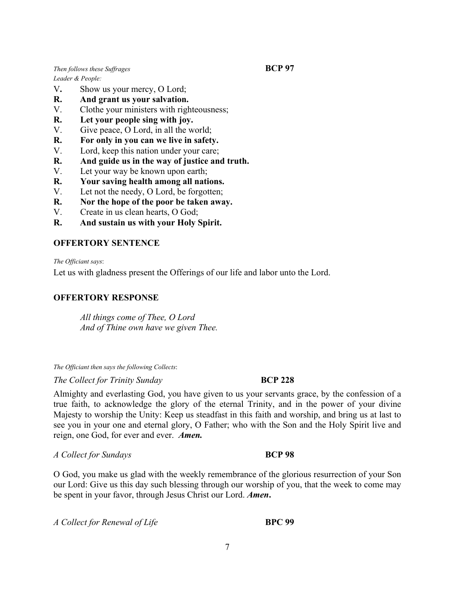*Then follows these Suffrages* **BCP 97** 

*Leader & People:* 

- V**.** Show us your mercy, O Lord;
- **R. And grant us your salvation.**
- V.Clothe your ministers with righteousness;
- **R. Let your people sing with joy.**
- V. Give peace, O Lord, in all the world;
- **R. For only in you can we live in safety.**
- V. Lord, keep this nation under your care;
- **R. And guide us in the way of justice and truth.**
- V. Let your way be known upon earth;
- **R. Your saving health among all nations.**
- V. Let not the needy, O Lord, be forgotten;
- **R. Nor the hope of the poor be taken away.**
- V. Create in us clean hearts, O God;
- **R. And sustain us with your Holy Spirit.**

## **OFFERTORY SENTENCE**

*The Officiant says*:

Let us with gladness present the Offerings of our life and labor unto the Lord.

## **OFFERTORY RESPONSE**

*All things come of Thee, O Lord And of Thine own have we given Thee.*

*The Officiant then says the following Collects*:

*The Collect for Trinity Sunday* **BCP 228** 

Almighty and everlasting God, you have given to us your servants grace, by the confession of a true faith, to acknowledge the glory of the eternal Trinity, and in the power of your divine Majesty to worship the Unity: Keep us steadfast in this faith and worship, and bring us at last to see you in your one and eternal glory, O Father; who with the Son and the Holy Spirit live and reign, one God, for ever and ever. *Amen.*

*A Collect for Sundays* **BCP 98**

O God, you make us glad with the weekly remembrance of the glorious resurrection of your Son our Lord: Give us this day such blessing through our worship of you, that the week to come may be spent in your favor, through Jesus Christ our Lord. *Amen***.**

*A Collect for Renewal of Life* **BPC 99** 

7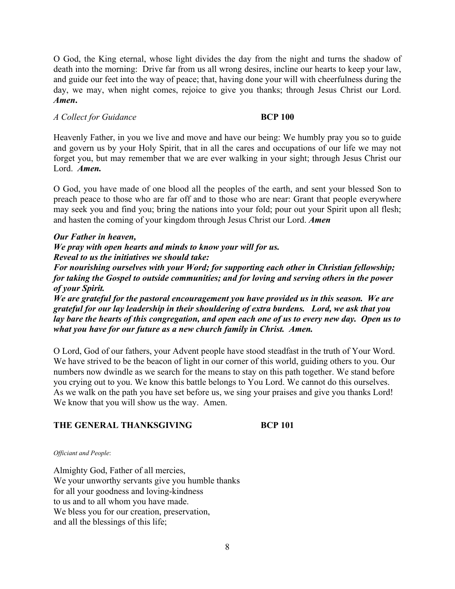O God, the King eternal, whose light divides the day from the night and turns the shadow of death into the morning: Drive far from us all wrong desires, incline our hearts to keep your law, and guide our feet into the way of peace; that, having done your will with cheerfulness during the day, we may, when night comes, rejoice to give you thanks; through Jesus Christ our Lord. *Amen***.**

## *A Collect for Guidance* **BCP 100**

Heavenly Father, in you we live and move and have our being: We humbly pray you so to guide and govern us by your Holy Spirit, that in all the cares and occupations of our life we may not forget you, but may remember that we are ever walking in your sight; through Jesus Christ our Lord. *Amen.*

O God, you have made of one blood all the peoples of the earth, and sent your blessed Son to preach peace to those who are far off and to those who are near: Grant that people everywhere may seek you and find you; bring the nations into your fold; pour out your Spirit upon all flesh; and hasten the coming of your kingdom through Jesus Christ our Lord. *Amen*

### *Our Father in heaven,*

*We pray with open hearts and minds to know your will for us. Reveal to us the initiatives we should take:* 

*For nourishing ourselves with your Word; for supporting each other in Christian fellowship; for taking the Gospel to outside communities; and for loving and serving others in the power of your Spirit.* 

*We are grateful for the pastoral encouragement you have provided us in this season. We are grateful for our lay leadership in their shouldering of extra burdens. Lord, we ask that you lay bare the hearts of this congregation, and open each one of us to every new day. Open us to what you have for our future as a new church family in Christ. Amen.* 

O Lord, God of our fathers, your Advent people have stood steadfast in the truth of Your Word. We have strived to be the beacon of light in our corner of this world, guiding others to you. Our numbers now dwindle as we search for the means to stay on this path together. We stand before you crying out to you. We know this battle belongs to You Lord. We cannot do this ourselves. As we walk on the path you have set before us, we sing your praises and give you thanks Lord! We know that you will show us the way. Amen.

## THE GENERAL THANKSGIVING BCP 101

*Officiant and People*:

Almighty God, Father of all mercies, We your unworthy servants give you humble thanks for all your goodness and loving-kindness to us and to all whom you have made. We bless you for our creation, preservation, and all the blessings of this life;